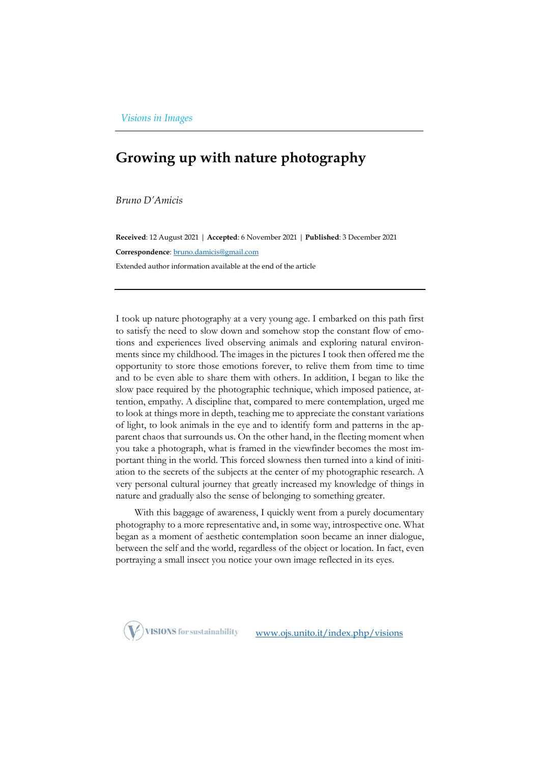## **Growing up with nature photography**

*Bruno D'Amicis*

**Received**: 12 August 2021 | **Accepted**: 6 November 2021 | **Published**: 3 December 2021 **Correspondence**[: bruno.damicis@gmail.com](mailto:bruno.damicis@gmail.com) Extended author information available at the end of the article

I took up nature photography at a very young age. I embarked on this path first to satisfy the need to slow down and somehow stop the constant flow of emotions and experiences lived observing animals and exploring natural environments since my childhood. The images in the pictures I took then offered me the opportunity to store those emotions forever, to relive them from time to time and to be even able to share them with others. In addition, I began to like the slow pace required by the photographic technique, which imposed patience, attention, empathy. A discipline that, compared to mere contemplation, urged me to look at things more in depth, teaching me to appreciate the constant variations of light, to look animals in the eye and to identify form and patterns in the apparent chaos that surrounds us. On the other hand, in the fleeting moment when you take a photograph, what is framed in the viewfinder becomes the most important thing in the world. This forced slowness then turned into a kind of initiation to the secrets of the subjects at the center of my photographic research. A very personal cultural journey that greatly increased my knowledge of things in nature and gradually also the sense of belonging to something greater.

With this baggage of awareness, I quickly went from a purely documentary photography to a more representative and, in some way, introspective one. What began as a moment of aesthetic contemplation soon became an inner dialogue, between the self and the world, regardless of the object or location. In fact, even portraying a small insect you notice your own image reflected in its eyes.



[www.ojs.unito.it/index.php/visions](http://www.ojs.unito.it/index.php/visions)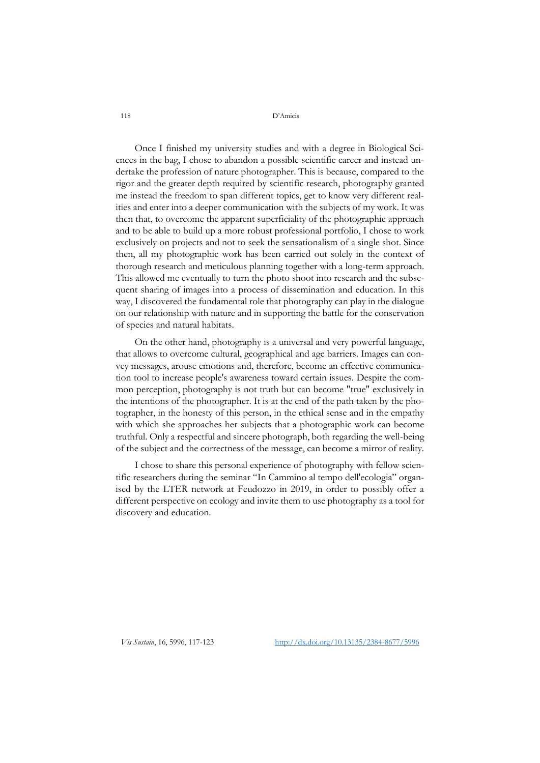118 D'Amicis

Once I finished my university studies and with a degree in Biological Sciences in the bag, I chose to abandon a possible scientific career and instead undertake the profession of nature photographer. This is because, compared to the rigor and the greater depth required by scientific research, photography granted me instead the freedom to span different topics, get to know very different realities and enter into a deeper communication with the subjects of my work. It was then that, to overcome the apparent superficiality of the photographic approach and to be able to build up a more robust professional portfolio, I chose to work exclusively on projects and not to seek the sensationalism of a single shot. Since then, all my photographic work has been carried out solely in the context of thorough research and meticulous planning together with a long-term approach. This allowed me eventually to turn the photo shoot into research and the subsequent sharing of images into a process of dissemination and education. In this way, I discovered the fundamental role that photography can play in the dialogue on our relationship with nature and in supporting the battle for the conservation of species and natural habitats.

On the other hand, photography is a universal and very powerful language, that allows to overcome cultural, geographical and age barriers. Images can convey messages, arouse emotions and, therefore, become an effective communication tool to increase people's awareness toward certain issues. Despite the common perception, photography is not truth but can become "true" exclusively in the intentions of the photographer. It is at the end of the path taken by the photographer, in the honesty of this person, in the ethical sense and in the empathy with which she approaches her subjects that a photographic work can become truthful. Only a respectful and sincere photograph, both regarding the well-being of the subject and the correctness of the message, can become a mirror of reality.

I chose to share this personal experience of photography with fellow scientific researchers during the seminar "In Cammino al tempo dell'ecologia" organised by the LTER network at Feudozzo in 2019, in order to possibly offer a different perspective on ecology and invite them to use photography as a tool for discovery and education.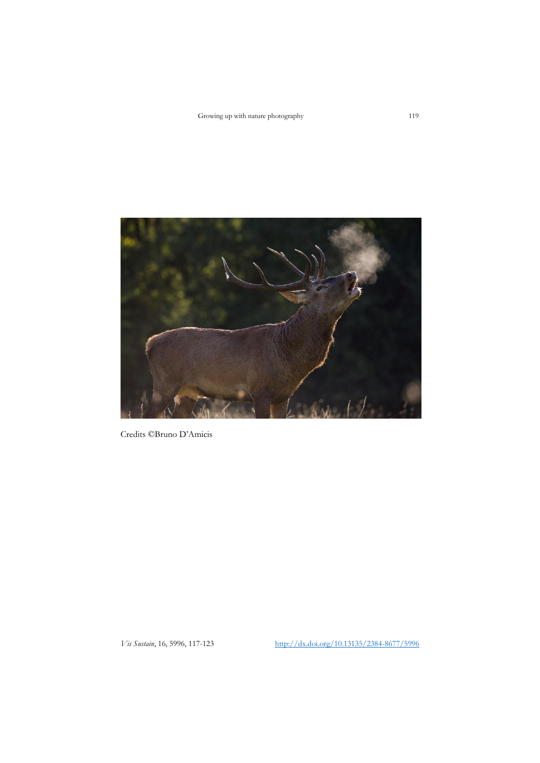Growing up with nature photography 119



Credits ©Bruno D'Amicis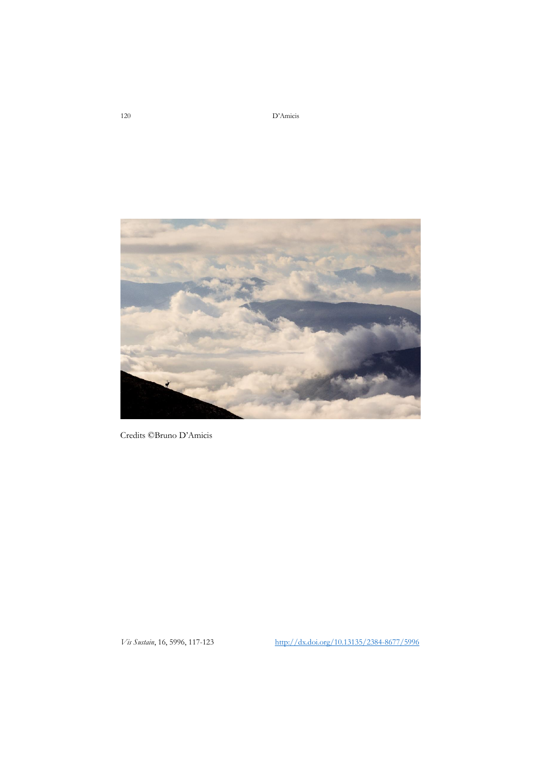120 D'Amicis



Credits ©Bruno D'Amicis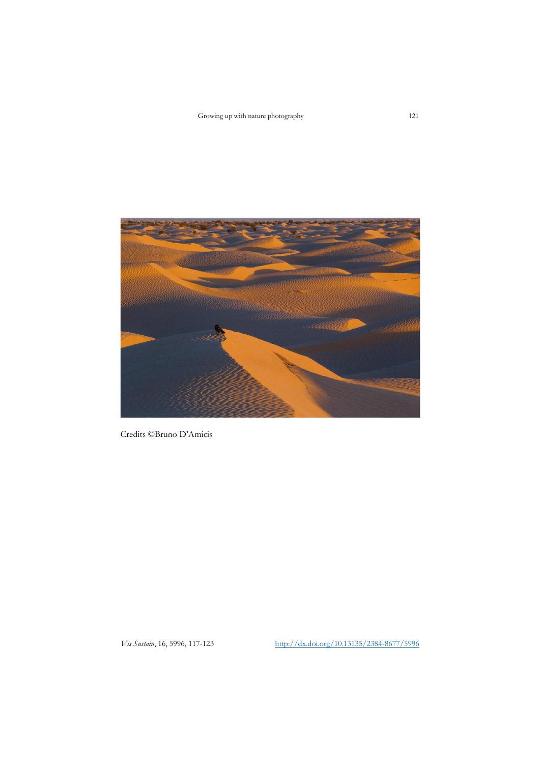

Credits ©Bruno D'Amicis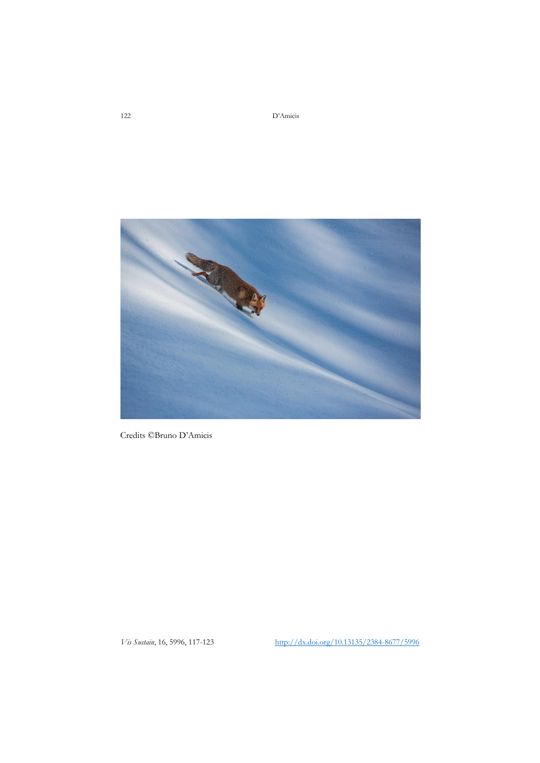122 D'Amicis



Credits ©Bruno D'Amicis